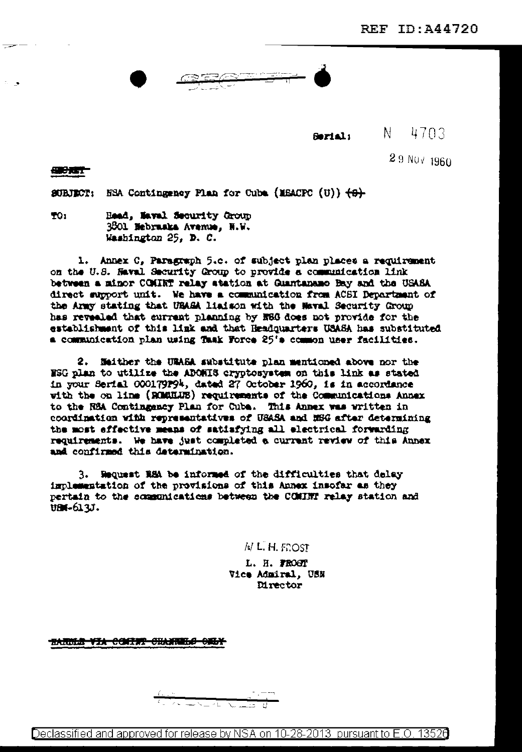29 NUV 1960

**Serial:** N 4703

母弟子

**SUBJECT:** NEA Contingency Plan for Cube (MEACPC (U))  $\{\Theta\}$ 

TO: Head, Maval Security Group 3801 Mebruaka Avenue, N.W. Washington 25, D. C.

1. Annex C, Paragraph 5.c. of subject plan places a requirement on the U.S. Haval Security Group to provide a communication link between a minor COMINT relay atation at Guantanamo Bay and the USASA direct support unit. We have a communication from ACSI Department of the Army stating that UBASA liaison with the Maval Security Group has revealed that current planning by N86 does not provide for the establishment of this link and that Headquarters USASA has substituted a communication plan using Task Force 25's common user facilities.

2. Heither the URASA substitute plan mentioned above nor the NSG plan to utilize the ADONIS cryptosystem on this link as stated in your Serial 000179P94, dated 27 October 1960, is in accordance with the on line (RCMMUS) requirements of the Communications Annex to the RSA Contingency Plan for Cuba. This Annex was written in coordination with representatives of USASA and NBG after determining the most effective means of satisfying all electrical forwarding requirements. We have just completed a current review of this Annex and confirmed this determination.

3. Request RSA be informed of the difficulties that delay implementation of the provisions of this Annex insofar as they pertain to the communications between the COMINT relay station and UBI-613J.

 $N$  L. H. FOOST

L. H. FROST Vice Admiral, USN **Mrector** 

HANNE VIA CONTH' CHANNELO ONLY